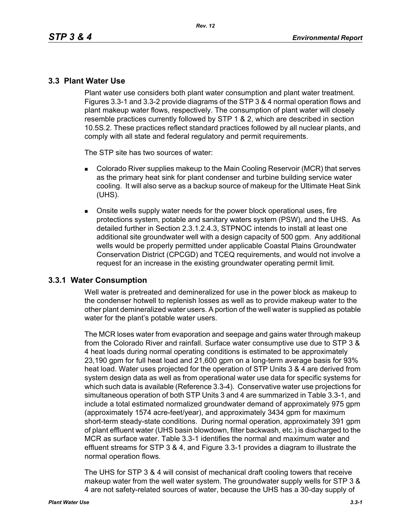### **3.3 Plant Water Use**

Plant water use considers both plant water consumption and plant water treatment. Figures 3.3-1 and 3.3-2 provide diagrams of the STP 3 & 4 normal operation flows and plant makeup water flows, respectively. The consumption of plant water will closely resemble practices currently followed by STP 1 & 2, which are described in section 10.5S.2. These practices reflect standard practices followed by all nuclear plants, and comply with all state and federal regulatory and permit requirements.

The STP site has two sources of water:

- **Colorado River supplies makeup to the Main Cooling Reservoir (MCR) that serves** as the primary heat sink for plant condenser and turbine building service water cooling. It will also serve as a backup source of makeup for the Ultimate Heat Sink (UHS).
- Onsite wells supply water needs for the power block operational uses, fire protections system, potable and sanitary waters system (PSW), and the UHS. As detailed further in Section 2.3.1.2.4.3, STPNOC intends to install at least one additional site groundwater well with a design capacity of 500 gpm. Any additional wells would be properly permitted under applicable Coastal Plains Groundwater Conservation District (CPCGD) and TCEQ requirements, and would not involve a request for an increase in the existing groundwater operating permit limit.

#### **3.3.1 Water Consumption**

Well water is pretreated and demineralized for use in the power block as makeup to the condenser hotwell to replenish losses as well as to provide makeup water to the other plant demineralized water users. A portion of the well water is supplied as potable water for the plant's potable water users.

The MCR loses water from evaporation and seepage and gains water through makeup from the Colorado River and rainfall. Surface water consumptive use due to STP 3 & 4 heat loads during normal operating conditions is estimated to be approximately 23,190 gpm for full heat load and 21,600 gpm on a long-term average basis for 93% heat load. Water uses projected for the operation of STP Units 3 & 4 are derived from system design data as well as from operational water use data for specific systems for which such data is available (Reference 3.3-4). Conservative water use projections for simultaneous operation of both STP Units 3 and 4 are summarized in Table 3.3-1, and include a total estimated normalized groundwater demand of approximately 975 gpm (approximately 1574 acre-feet/year), and approximately 3434 gpm for maximum short-term steady-state conditions. During normal operation, approximately 391 gpm of plant effluent water (UHS basin blowdown, filter backwash, etc.) is discharged to the MCR as surface water. Table 3.3-1 identifies the normal and maximum water and effluent streams for STP 3 & 4, and Figure 3.3-1 provides a diagram to illustrate the normal operation flows.

The UHS for STP 3 & 4 will consist of mechanical draft cooling towers that receive makeup water from the well water system. The groundwater supply wells for STP 3 & 4 are not safety-related sources of water, because the UHS has a 30-day supply of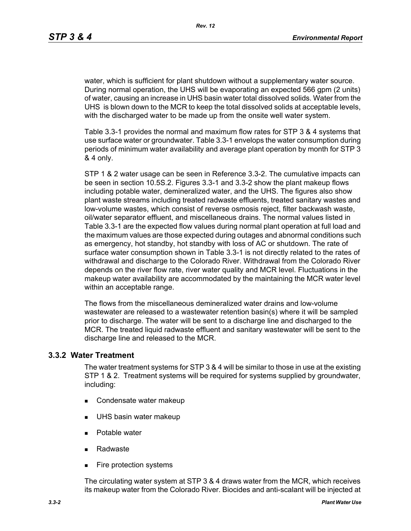water, which is sufficient for plant shutdown without a supplementary water source. During normal operation, the UHS will be evaporating an expected 566 gpm (2 units) of water, causing an increase in UHS basin water total dissolved solids. Water from the UHS is blown down to the MCR to keep the total dissolved solids at acceptable levels, with the discharged water to be made up from the onsite well water system.

Table 3.3-1 provides the normal and maximum flow rates for STP 3 & 4 systems that use surface water or groundwater. Table 3.3-1 envelops the water consumption during periods of minimum water availability and average plant operation by month for STP 3 & 4 only.

STP 1 & 2 water usage can be seen in Reference 3.3-2. The cumulative impacts can be seen in section 10.5S.2. Figures 3.3-1 and 3.3-2 show the plant makeup flows including potable water, demineralized water, and the UHS. The figures also show plant waste streams including treated radwaste effluents, treated sanitary wastes and low-volume wastes, which consist of reverse osmosis reject, filter backwash waste, oil/water separator effluent, and miscellaneous drains. The normal values listed in Table 3.3-1 are the expected flow values during normal plant operation at full load and the maximum values are those expected during outages and abnormal conditions such as emergency, hot standby, hot standby with loss of AC or shutdown. The rate of surface water consumption shown in Table 3.3-1 is not directly related to the rates of withdrawal and discharge to the Colorado River. Withdrawal from the Colorado River depends on the river flow rate, river water quality and MCR level. Fluctuations in the makeup water availability are accommodated by the maintaining the MCR water level within an acceptable range.

The flows from the miscellaneous demineralized water drains and low-volume wastewater are released to a wastewater retention basin(s) where it will be sampled prior to discharge. The water will be sent to a discharge line and discharged to the MCR. The treated liquid radwaste effluent and sanitary wastewater will be sent to the discharge line and released to the MCR.

#### **3.3.2 Water Treatment**

The water treatment systems for STP 3 & 4 will be similar to those in use at the existing STP 1 & 2. Treatment systems will be required for systems supplied by groundwater, including:

- Condensate water makeup
- **UHS basin water makeup**
- **Potable water**
- Radwaste
- **Fire protection systems**

The circulating water system at STP 3 & 4 draws water from the MCR, which receives its makeup water from the Colorado River. Biocides and anti-scalant will be injected at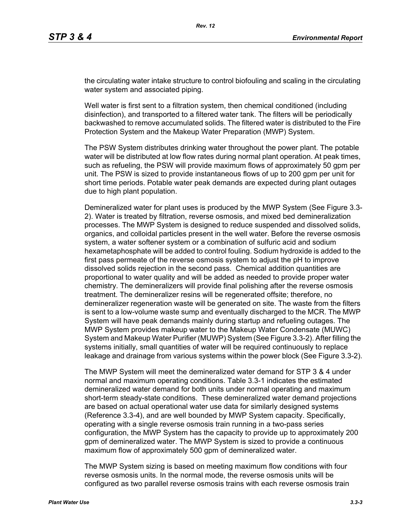the circulating water intake structure to control biofouling and scaling in the circulating water system and associated piping.

Well water is first sent to a filtration system, then chemical conditioned (including disinfection), and transported to a filtered water tank. The filters will be periodically backwashed to remove accumulated solids. The filtered water is distributed to the Fire Protection System and the Makeup Water Preparation (MWP) System.

The PSW System distributes drinking water throughout the power plant. The potable water will be distributed at low flow rates during normal plant operation. At peak times, such as refueling, the PSW will provide maximum flows of approximately 50 gpm per unit. The PSW is sized to provide instantaneous flows of up to 200 gpm per unit for short time periods. Potable water peak demands are expected during plant outages due to high plant population.

Demineralized water for plant uses is produced by the MWP System (See Figure 3.3- 2). Water is treated by filtration, reverse osmosis, and mixed bed demineralization processes. The MWP System is designed to reduce suspended and dissolved solids, organics, and colloidal particles present in the well water. Before the reverse osmosis system, a water softener system or a combination of sulfuric acid and sodium hexametaphosphate will be added to control fouling. Sodium hydroxide is added to the first pass permeate of the reverse osmosis system to adjust the pH to improve dissolved solids rejection in the second pass. Chemical addition quantities are proportional to water quality and will be added as needed to provide proper water chemistry. The demineralizers will provide final polishing after the reverse osmosis treatment. The demineralizer resins will be regenerated offsite; therefore, no demineralizer regeneration waste will be generated on site. The waste from the filters is sent to a low-volume waste sump and eventually discharged to the MCR. The MWP System will have peak demands mainly during startup and refueling outages. The MWP System provides makeup water to the Makeup Water Condensate (MUWC) System and Makeup Water Purifier (MUWP) System (See Figure 3.3-2). After filling the systems initially, small quantities of water will be required continuously to replace leakage and drainage from various systems within the power block (See Figure 3.3-2).

The MWP System will meet the demineralized water demand for STP 3 & 4 under normal and maximum operating conditions. Table 3.3-1 indicates the estimated demineralized water demand for both units under normal operating and maximum short-term steady-state conditions. These demineralized water demand projections are based on actual operational water use data for similarly designed systems (Reference 3.3-4), and are well bounded by MWP System capacity. Specifically, operating with a single reverse osmosis train running in a two-pass series configuration, the MWP System has the capacity to provide up to approximately 200 gpm of demineralized water. The MWP System is sized to provide a continuous maximum flow of approximately 500 gpm of demineralized water.

The MWP System sizing is based on meeting maximum flow conditions with four reverse osmosis units. In the normal mode, the reverse osmosis units will be configured as two parallel reverse osmosis trains with each reverse osmosis train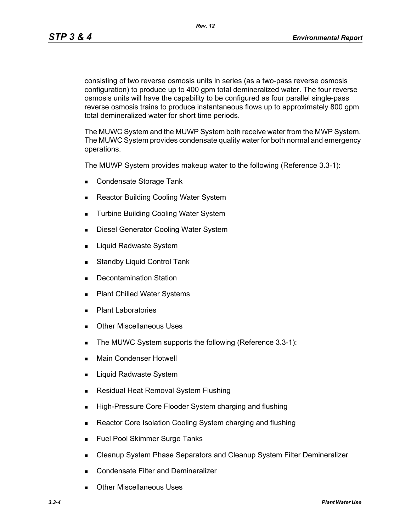*Rev. 12*

consisting of two reverse osmosis units in series (as a two-pass reverse osmosis configuration) to produce up to 400 gpm total demineralized water. The four reverse osmosis units will have the capability to be configured as four parallel single-pass reverse osmosis trains to produce instantaneous flows up to approximately 800 gpm total demineralized water for short time periods.

The MUWC System and the MUWP System both receive water from the MWP System. The MUWC System provides condensate quality water for both normal and emergency operations.

The MUWP System provides makeup water to the following (Reference 3.3-1):

- Condensate Storage Tank
- Reactor Building Cooling Water System
- **Turbine Building Cooling Water System**
- **Diesel Generator Cooling Water System**
- **Liquid Radwaste System**
- **Standby Liquid Control Tank**
- **Decontamination Station**
- Plant Chilled Water Systems
- **Plant Laboratories**
- **Duries** Other Miscellaneous Uses
- The MUWC System supports the following (Reference 3.3-1):
- **Main Condenser Hotwell**
- Liquid Radwaste System
- **Residual Heat Removal System Flushing**
- **High-Pressure Core Flooder System charging and flushing**
- Reactor Core Isolation Cooling System charging and flushing
- **Fuel Pool Skimmer Surge Tanks**
- **EXEC** Cleanup System Phase Separators and Cleanup System Filter Demineralizer
- **Condensate Filter and Demineralizer**
- Other Miscellaneous Uses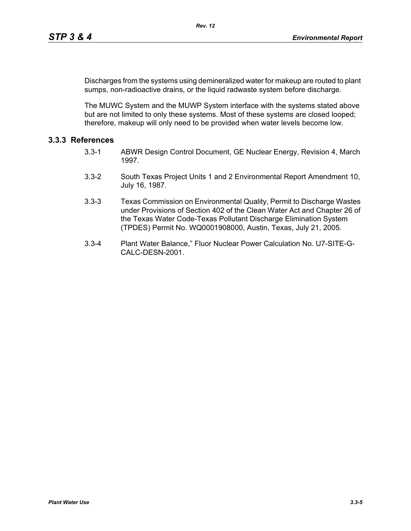Discharges from the systems using demineralized water for makeup are routed to plant sumps, non-radioactive drains, or the liquid radwaste system before discharge.

The MUWC System and the MUWP System interface with the systems stated above but are not limited to only these systems. Most of these systems are closed looped; therefore, makeup will only need to be provided when water levels become low.

# **3.3.3 References**

- 3.3-1 ABWR Design Control Document, GE Nuclear Energy, Revision 4, March 1997.
- 3.3-2 South Texas Project Units 1 and 2 Environmental Report Amendment 10, July 16, 1987.
- 3.3-3 Texas Commission on Environmental Quality, Permit to Discharge Wastes under Provisions of Section 402 of the Clean Water Act and Chapter 26 of the Texas Water Code-Texas Pollutant Discharge Elimination System (TPDES) Permit No. WQ0001908000, Austin, Texas, July 21, 2005.
- 3.3-4 Plant Water Balance," Fluor Nuclear Power Calculation No. U7-SITE-G-CALC-DESN-2001.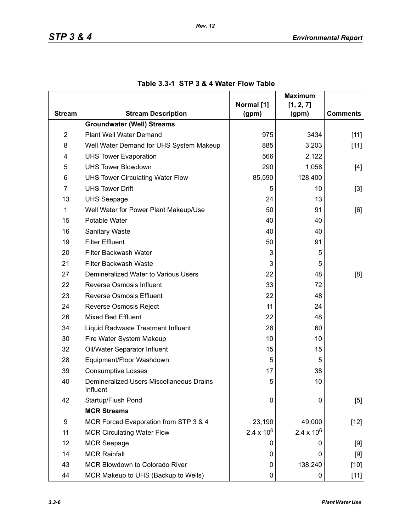|                |                                                      |                     | <b>Maximum</b>      |                 |
|----------------|------------------------------------------------------|---------------------|---------------------|-----------------|
| <b>Stream</b>  | <b>Stream Description</b>                            | Normal [1]<br>(gpm) | [1, 2, 7]<br>(gpm)  | <b>Comments</b> |
|                | <b>Groundwater (Well) Streams</b>                    |                     |                     |                 |
| $\overline{2}$ | Plant Well Water Demand                              | 975                 | 3434                | $[11]$          |
| 8              | Well Water Demand for UHS System Makeup              | 885                 | 3,203               | $[11]$          |
| 4              | <b>UHS Tower Evaporation</b>                         | 566                 | 2,122               |                 |
| 5              | <b>UHS Tower Blowdown</b>                            | 290                 | 1,058               | $[4]$           |
| 6              | <b>UHS Tower Circulating Water Flow</b>              | 85,590              | 128,400             |                 |
| $\overline{7}$ | <b>UHS Tower Drift</b>                               | 5                   | 10                  | $[3]$           |
| 13             | <b>UHS Seepage</b>                                   | 24                  | 13                  |                 |
| 1              | Well Water for Power Plant Makeup/Use                | 50                  | 91                  | [6]             |
| 15             | Potable Water                                        | 40                  | 40                  |                 |
| 16             | <b>Sanitary Waste</b>                                | 40                  | 40                  |                 |
| 19             | <b>Filter Effluent</b>                               | 50                  | 91                  |                 |
| 20             | Filter Backwash Water                                | 3                   | 5                   |                 |
| 21             | Filter Backwash Waste                                | 3                   | 5                   |                 |
| 27             | Demineralized Water to Various Users                 | 22                  | 48                  | [8]             |
| 22             | Reverse Osmosis Influent                             | 33                  | 72                  |                 |
| 23             | <b>Reverse Osmosis Effluent</b>                      | 22                  | 48                  |                 |
| 24             | Reverse Osmosis Reject                               | 11                  | 24                  |                 |
| 26             | <b>Mixed Bed Effluent</b>                            | 22                  | 48                  |                 |
| 34             | Liquid Radwaste Treatment Influent                   | 28                  | 60                  |                 |
| 30             | Fire Water System Makeup                             | 10                  | 10                  |                 |
| 32             | Oil/Water Separator Influent                         | 15                  | 15                  |                 |
| 28             | Equipment/Floor Washdown                             | 5                   | 5                   |                 |
| 39             | <b>Consumptive Losses</b>                            | 17                  | 38                  |                 |
| 40             | Demineralized Users Miscellaneous Drains<br>Influent | 5                   | 10                  |                 |
| 42             | Startup/Flush Pond                                   | 0                   | 0                   | [5]             |
|                | <b>MCR Streams</b>                                   |                     |                     |                 |
| 9              | MCR Forced Evaporation from STP 3 & 4                | 23,190              | 49,000              | $[12]$          |
| 11             | <b>MCR Circulating Water Flow</b>                    | $2.4 \times 10^{6}$ | $2.4 \times 10^{6}$ |                 |
| 12             | <b>MCR Seepage</b>                                   | O                   | 0                   | [9]             |
| 14             | <b>MCR Rainfall</b>                                  | 0                   | 0                   | $[9]$           |
| 43             | MCR Blowdown to Colorado River                       | 0                   | 138,240             | $[10]$          |
| 44             | MCR Makeup to UHS (Backup to Wells)                  | 0                   | 0                   | $[11]$          |

## **Table 3.3-1 STP 3 & 4 Water Flow Table**

*Rev. 12*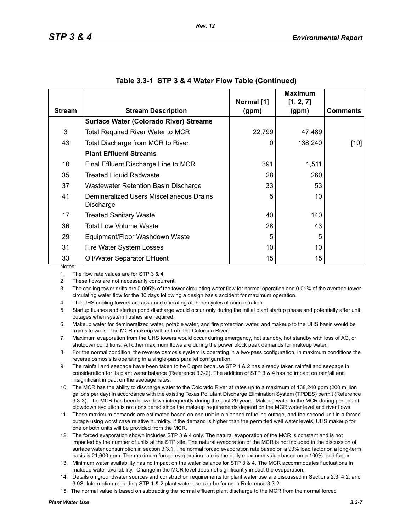|               |                                                       |                     | <b>Maximum</b>     |                 |
|---------------|-------------------------------------------------------|---------------------|--------------------|-----------------|
| <b>Stream</b> | <b>Stream Description</b>                             | Normal [1]<br>(gpm) | [1, 2, 7]<br>(gpm) | <b>Comments</b> |
|               | <b>Surface Water (Colorado River) Streams</b>         |                     |                    |                 |
| 3             | <b>Total Required River Water to MCR</b>              | 22,799              | 47,489             |                 |
| 43            | Total Discharge from MCR to River                     | 0                   | 138,240            | [10]            |
|               | <b>Plant Effluent Streams</b>                         |                     |                    |                 |
| 10            | Final Effluent Discharge Line to MCR                  | 391                 | 1,511              |                 |
| 35            | <b>Treated Liquid Radwaste</b>                        | 28                  | 260                |                 |
| 37            | Wastewater Retention Basin Discharge                  | 33                  | 53                 |                 |
| 41            | Demineralized Users Miscellaneous Drains<br>Discharge | 5                   | 10                 |                 |
| 17            | <b>Treated Sanitary Waste</b>                         | 40                  | 140                |                 |
| 36            | Total Low Volume Waste                                | 28                  | 43                 |                 |
| 29            | Equipment/Floor Washdown Waste                        | 5                   | 5                  |                 |
| 31            | Fire Water System Losses                              | 10                  | 10                 |                 |
| 33            | Oil/Water Separator Effluent                          | 15                  | 15                 |                 |
| Notes:        |                                                       |                     |                    |                 |

|  |  |  | Table 3.3-1 STP 3 & 4 Water Flow Table (Continued) |  |
|--|--|--|----------------------------------------------------|--|
|--|--|--|----------------------------------------------------|--|

1. The flow rate values are for STP 3 & 4.

2. These flows are not necessarily concurrent.

3. The cooling tower drifts are 0.005% of the tower circulating water flow for normal operation and 0.01% of the average tower circulating water flow for the 30 days following a design basis accident for maximum operation.

4. The UHS cooling towers are assumed operating at three cycles of concentration.

5. Startup flushes and startup pond discharge would occur only during the initial plant startup phase and potentially after unit outages when system flushes are required.

6. Makeup water for demineralized water, potable water, and fire protection water, and makeup to the UHS basin would be from site wells. The MCR makeup will be from the Colorado River.

7. Maximum evaporation from the UHS towers would occur during emergency, hot standby, hot standby with loss of AC, or shutdown conditions. All other maximum flows are during the power block peak demands for makeup water.

8. For the normal condition, the reverse osmosis system is operating in a two-pass configuration, in maximum conditions the reverse osmosis is operating in a single-pass parallel configuration.

9. The rainfall and seepage have been taken to be 0 gpm because STP 1 & 2 has already taken rainfall and seepage in consideration for its plant water balance (Reference 3.3-2). The addition of STP 3 & 4 has no impact on rainfall and insignificant impact on the seepage rates.

10. The MCR has the ability to discharge water to the Colorado River at rates up to a maximum of 138,240 gpm (200 million gallons per day) in accordance with the existing Texas Pollutant Discharge Elimination System (TPDES) permit (Reference 3.3-3). The MCR has been blowndown infrequently during the past 20 years. Makeup water to the MCR during periods of blowdown evolution is not considered since the makeup requirements depend on the MCR water level and river flows.

11. These maximum demands are estimated based on one unit in a planned refueling outage, and the second unit in a forced outage using worst case relative humidity. If the demand is higher than the permitted well water levels, UHS makeup for one or both units will be provided from the MCR.

- 12. The forced evaporation shown includes STP 3 & 4 only. The natural evaporation of the MCR is constant and is not impacted by the number of units at the STP site. The natural evaporation of the MCR is not included in the discussion of surface water consumption in section 3.3.1. The normal forced evaporation rate based on a 93% load factor on a long-term basis is 21,600 gpm. The maximum forced evaporation rate is the daily maximum value based on a 100% load factor.
- 13. Minimum water availability has no impact on the water balance for STP 3 & 4. The MCR accommodates fluctuations in makeup water availability. Change in the MCR level does not significantly impact the evaporation.
- 14. Details on groundwater sources and construction requirements for plant water use are discussed in Sections 2.3, 4.2, and 3.9S. Information regarding STP 1 & 2 plant water use can be found in Reference 3.3-2.
- 15. The normal value is based on subtracting the normal effluent plant discharge to the MCR from the normal forced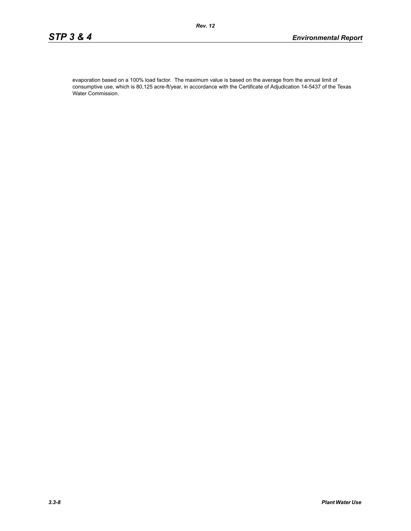evaporation based on a 100% load factor. The maximum value is based on the average from the annual limit of consumptive use, which is 80,125 acre-ft/year, in accordance with the Certificate of Adjudication 14-5437 of the Texas Water Commission.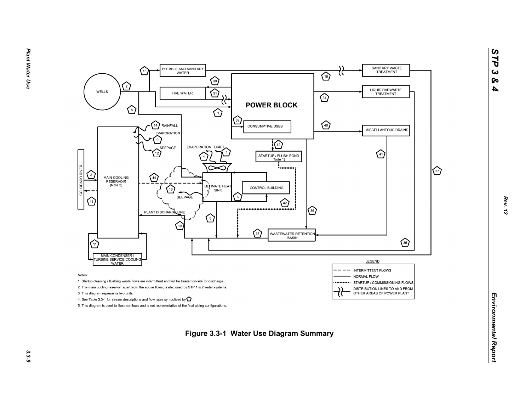

*STP 3 & 4*